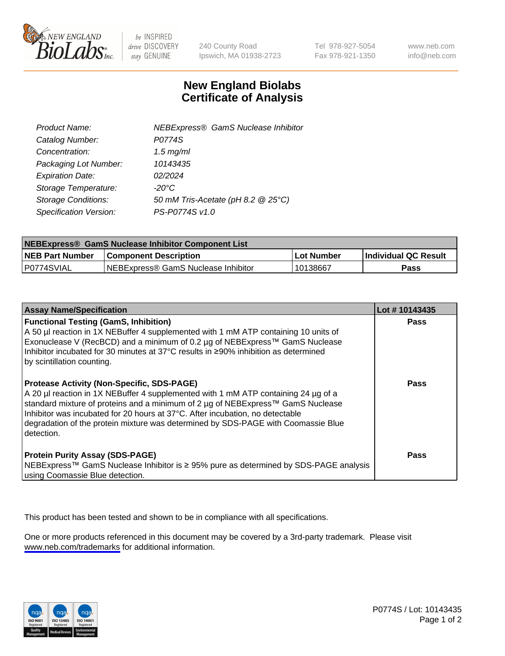

be INSPIRED drive DISCOVERY stay GENUINE

240 County Road Ipswich, MA 01938-2723 Tel 978-927-5054 Fax 978-921-1350

www.neb.com info@neb.com

## **New England Biolabs Certificate of Analysis**

| <b>NEBExpress® GamS Nuclease Inhibitor</b> |
|--------------------------------------------|
| P0774S                                     |
| $1.5$ mg/ml                                |
| 10143435                                   |
| 02/2024                                    |
| $-20^{\circ}$ C                            |
| 50 mM Tris-Acetate (pH 8.2 @ 25°C)         |
| PS-P0774S v1.0                             |
|                                            |

| NEBExpress® GamS Nuclease Inhibitor Component List |                                      |            |                      |  |
|----------------------------------------------------|--------------------------------------|------------|----------------------|--|
| <b>NEB Part Number</b>                             | <b>Component Description</b>         | Lot Number | Individual QC Result |  |
| IP0774SVIAL                                        | INEBExpress® GamS Nuclease Inhibitor | 10138667   | Pass                 |  |

| <b>Assay Name/Specification</b>                                                                                                                                                                                                                                                                                                                                                                                | Lot #10143435 |
|----------------------------------------------------------------------------------------------------------------------------------------------------------------------------------------------------------------------------------------------------------------------------------------------------------------------------------------------------------------------------------------------------------------|---------------|
| <b>Functional Testing (GamS, Inhibition)</b><br>A 50 µl reaction in 1X NEBuffer 4 supplemented with 1 mM ATP containing 10 units of<br>Exonuclease V (RecBCD) and a minimum of 0.2 µg of NEBExpress™ GamS Nuclease<br>Inhibitor incubated for 30 minutes at 37°C results in ≥90% inhibition as determined<br>by scintillation counting.                                                                        | Pass          |
| <b>Protease Activity (Non-Specific, SDS-PAGE)</b><br>A 20 µl reaction in 1X NEBuffer 4 supplemented with 1 mM ATP containing 24 µg of a<br>standard mixture of proteins and a minimum of 2 µg of NEBExpress™ GamS Nuclease<br>Inhibitor was incubated for 20 hours at 37°C. After incubation, no detectable<br>degradation of the protein mixture was determined by SDS-PAGE with Coomassie Blue<br>detection. | <b>Pass</b>   |
| <b>Protein Purity Assay (SDS-PAGE)</b><br>NEBExpress™ GamS Nuclease Inhibitor is ≥ 95% pure as determined by SDS-PAGE analysis<br>using Coomassie Blue detection.                                                                                                                                                                                                                                              | <b>Pass</b>   |

This product has been tested and shown to be in compliance with all specifications.

One or more products referenced in this document may be covered by a 3rd-party trademark. Please visit <www.neb.com/trademarks>for additional information.